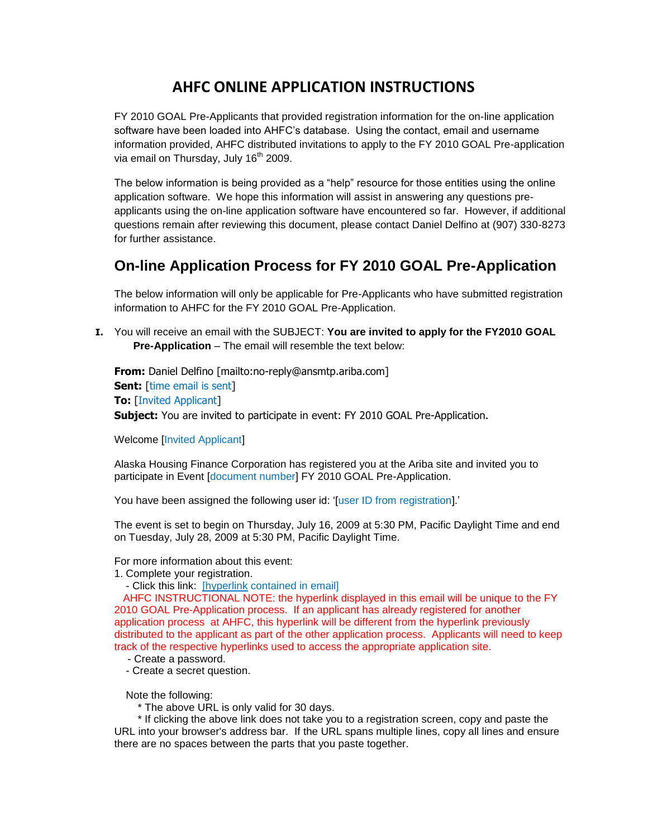## **AHFC ONLINE APPLICATION INSTRUCTIONS**

FY 2010 GOAL Pre-Applicants that provided registration information for the on-line application software have been loaded into AHFC"s database. Using the contact, email and username information provided, AHFC distributed invitations to apply to the FY 2010 GOAL Pre-application via email on Thursday, July 16<sup>th</sup> 2009.

The below information is being provided as a "help" resource for those entities using the online application software. We hope this information will assist in answering any questions preapplicants using the on-line application software have encountered so far. However, if additional questions remain after reviewing this document, please contact Daniel Delfino at (907) 330-8273 for further assistance.

## **On-line Application Process for FY 2010 GOAL Pre-Application**

The below information will only be applicable for Pre-Applicants who have submitted registration information to AHFC for the FY 2010 GOAL Pre-Application.

**I.** You will receive an email with the SUBJECT: **You are invited to apply for the FY2010 GOAL Pre-Application** – The email will resemble the text below:

**From:** Daniel Delfino [mailto:no-reply@ansmtp.ariba.com] **Sent:** [time email is sent] **To:** [Invited Applicant] **Subject:** You are invited to participate in event: FY 2010 GOAL Pre-Application.

Welcome [Invited Applicant]

Alaska Housing Finance Corporation has registered you at the Ariba site and invited you to participate in Event [document number] FY 2010 GOAL Pre-Application.

You have been assigned the following user id: '[user ID from registration].'

The event is set to begin on Thursday, July 16, 2009 at 5:30 PM, Pacific Daylight Time and end on Tuesday, July 28, 2009 at 5:30 PM, Pacific Daylight Time.

For more information about this event:

1. Complete your registration.

- Click this link: [\[hyperlink](http://rpt_alaskahousingfinancecorporation.supplier.ariba.com/?awsso_tkn=34rrPrjNkk4a5faf41ffffffffd86d6fce1b) contained in email]

 AHFC INSTRUCTIONAL NOTE: the hyperlink displayed in this email will be unique to the FY 2010 GOAL Pre-Application process. If an applicant has already registered for another application process at AHFC, this hyperlink will be different from the hyperlink previously distributed to the applicant as part of the other application process. Applicants will need to keep track of the respective hyperlinks used to access the appropriate application site.

- Create a password.
- Create a secret question.

Note the following:

\* The above URL is only valid for 30 days.

 \* If clicking the above link does not take you to a registration screen, copy and paste the URL into your browser's address bar. If the URL spans multiple lines, copy all lines and ensure there are no spaces between the parts that you paste together.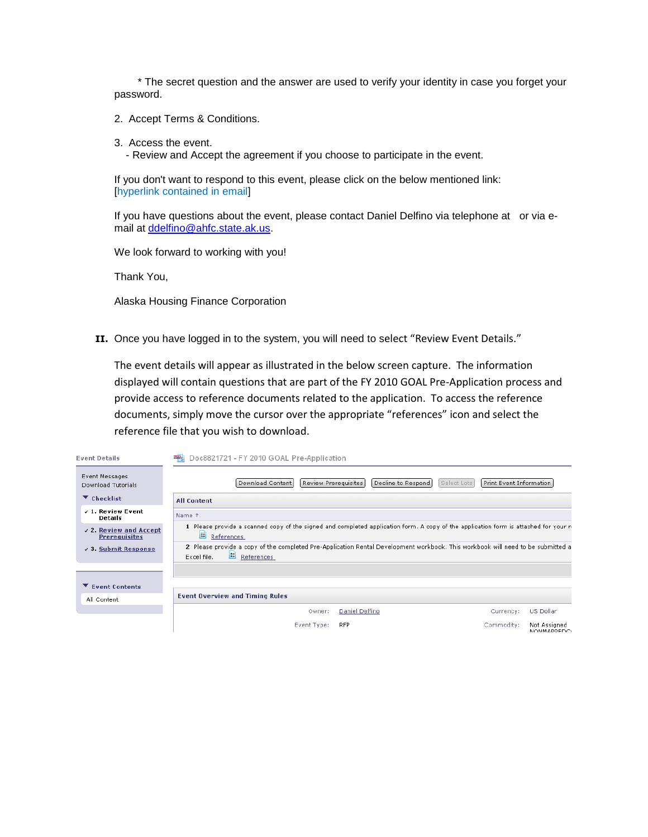\* The secret question and the answer are used to verify your identity in case you forget your password.

- 2. Accept Terms & Conditions.
- 3. Access the event.
	- Review and Accept the agreement if you choose to participate in the event.

If you don't want to respond to this event, please click on the below mentioned link: [hyperlink contained in email]

If you have questions about the event, please contact Daniel Delfino via telephone at or via email at [ddelfino@ahfc.state.ak.us.](mailto:ddelfino@ahfc.state.ak.us)

We look forward to working with you!

Thank You,

Alaska Housing Finance Corporation

II. Once you have logged in to the system, you will need to select "Review Event Details."

The event details will appear as illustrated in the below screen capture. The information displayed will contain questions that are part of the FY 2010 GOAL Pre-Application process and provide access to reference documents related to the application. To access the reference documents, simply move the cursor over the appropriate "references" icon and select the reference file that you wish to download.

| <b>Event Details</b>                           | Doc8821721 - FY 2010 GOAL Pre-Application<br><b>RFP</b>                                                                                                               |                                   |
|------------------------------------------------|-----------------------------------------------------------------------------------------------------------------------------------------------------------------------|-----------------------------------|
| Event Messages<br>Download Tutorials           | Review Prerequisites<br>Decline to Respond<br>Select Lots<br>Download Content<br>Print Event Information                                                              |                                   |
| $\blacktriangledown$ Checklist                 | <b>All Content</b>                                                                                                                                                    |                                   |
| $\sqrt{1}$ . Review Event<br><b>Details</b>    | Name 1                                                                                                                                                                |                                   |
| v 2. Review and Accept<br><b>Prerequisites</b> | 1 Please provide a scanned copy of the signed and completed application form. A copy of the application form is attached for your r<br>圓<br>References                |                                   |
| $\sqrt{3}$ . Submit Response                   | 2 Please provide a copy of the completed Pre-Application Rental Development workbook. This workbook will need to be submitted a<br><b>E</b> References<br>Excel file. |                                   |
|                                                |                                                                                                                                                                       |                                   |
| ▼ Event Contents                               |                                                                                                                                                                       |                                   |
| All Content                                    | <b>Event Overview and Timing Rules</b>                                                                                                                                |                                   |
|                                                | Daniel Delfino<br>Owner:<br>Currency:                                                                                                                                 | US Dollar                         |
|                                                | <b>RFP</b><br>Event Type:<br>Commodity:                                                                                                                               | Not Assigned<br><b>NONMAPPEDC</b> |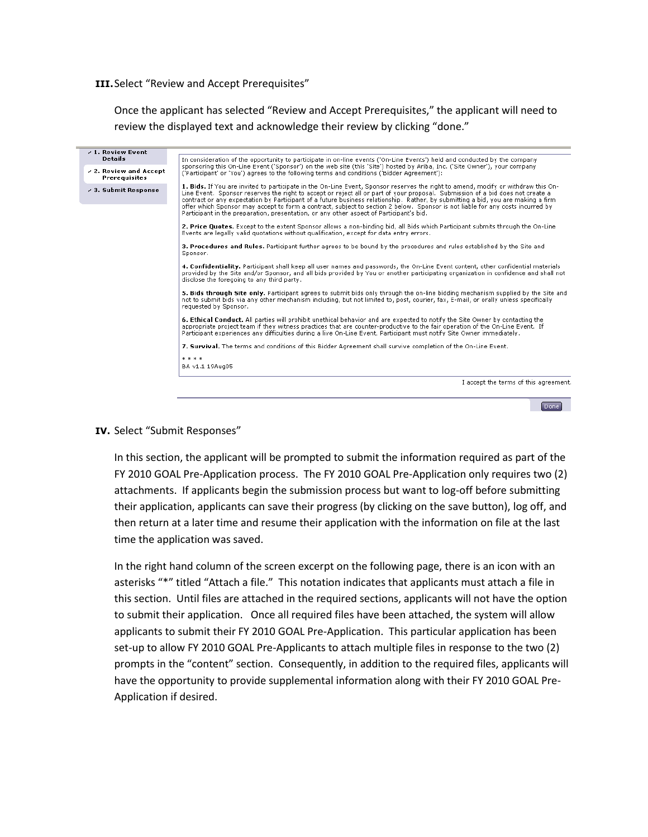**III.**Select "Review and Accept Prerequisites"

Once the applicant has selected "Review and Accept Prerequisites," the applicant will need to review the displayed text and acknowledge their review by clicking "done."

| $\vee$ 1. Review Event<br><b>Details</b> | In consideration of the opportunity to participate in on-line events ('On-Line Events') held and conducted by the company                                                                                                                                                                                                                                                                                                                                                                                                                 |  |  |  |  |
|------------------------------------------|-------------------------------------------------------------------------------------------------------------------------------------------------------------------------------------------------------------------------------------------------------------------------------------------------------------------------------------------------------------------------------------------------------------------------------------------------------------------------------------------------------------------------------------------|--|--|--|--|
| v 2. Review and Accept<br>Prerequisites  | sponsoring this On-Line Event ('Sponsor') on the web site (this 'Site') hosted by Ariba, Inc. ('Site Owner'), your company<br>('Participant' or 'You') agrees to the following terms and conditions ('Bidder Agreement');                                                                                                                                                                                                                                                                                                                 |  |  |  |  |
| $\checkmark$ 3. Submit Response          | 1. Bids. If You are invited to participate in the On-Line Event, Sponsor reserves the right to amend, modify or withdraw this On-<br>Line Event. Sponsor reserves the right to accept or reject all or part of your proposal. Submission of a bid does not create a<br>contract or any expectation by Participant of a future business relationship. Rather, by submitting a bid, you are making a firm<br>offer which Sponsor may accept to form a contract, subject to section 2 below. Sponsor is not liable for any costs incurred by |  |  |  |  |
|                                          | Participant in the preparation, presentation, or any other aspect of Participant's bid.                                                                                                                                                                                                                                                                                                                                                                                                                                                   |  |  |  |  |
|                                          | 2. Price Quotes. Except to the extent Sponsor allows a non-binding bid, all Bids which Participant submits through the On-Line<br>Events are legally valid guotations without gualification, except for data entry errors,                                                                                                                                                                                                                                                                                                                |  |  |  |  |
|                                          | 3. Procedures and Rules. Participant further agrees to be bound by the procedures and rules established by the Site and<br>Sponsor.                                                                                                                                                                                                                                                                                                                                                                                                       |  |  |  |  |
|                                          | 4. Confidentiality. Participant shall keep all user names and passwords, the On-Line Event content, other confidential materials<br>provided by the Site and/or Sponsor, and all bids provided by You or another participating organization in confidence and shall not<br>disclose the foregoing to any third party.                                                                                                                                                                                                                     |  |  |  |  |
|                                          | 5. Bids through Site only. Participant agrees to submit bids only through the on-line bidding mechanism supplied by the Site and<br>not to submit bids via any other mechanism including, but not limited to, post, courier, fax, E-mail, or orally unless specifically<br>requested by Sponsor.                                                                                                                                                                                                                                          |  |  |  |  |
|                                          | 6. Ethical Conduct. All parties will prohibit unethical behavior and are expected to notify the Site Owner by contacting the<br>appropriate project team if they witness practices that are counter-productive to the fair operation of the On-Line Event. If<br>Participant experiences any difficulties during a live On-Line Event, Participant must notify Site Owner immediately.                                                                                                                                                    |  |  |  |  |
|                                          | 7. Survival. The terms and conditions of this Bidder Agreement shall survive completion of the On-Line Event.                                                                                                                                                                                                                                                                                                                                                                                                                             |  |  |  |  |
|                                          | * * * *                                                                                                                                                                                                                                                                                                                                                                                                                                                                                                                                   |  |  |  |  |
|                                          | BA v1.1 19Aug05                                                                                                                                                                                                                                                                                                                                                                                                                                                                                                                           |  |  |  |  |
|                                          | I accept the terms of this agreement.                                                                                                                                                                                                                                                                                                                                                                                                                                                                                                     |  |  |  |  |
|                                          |                                                                                                                                                                                                                                                                                                                                                                                                                                                                                                                                           |  |  |  |  |

## **IV.** Select "Submit Responses"

In this section, the applicant will be prompted to submit the information required as part of the FY 2010 GOAL Pre-Application process. The FY 2010 GOAL Pre-Application only requires two (2) attachments. If applicants begin the submission process but want to log-off before submitting their application, applicants can save their progress (by clicking on the save button), log off, and then return at a later time and resume their application with the information on file at the last time the application was saved.

 $T<sub>one</sub>$ 

In the right hand column of the screen excerpt on the following page, there is an icon with an asterisks "\*" titled "Attach a file." This notation indicates that applicants must attach a file in this section. Until files are attached in the required sections, applicants will not have the option to submit their application. Once all required files have been attached, the system will allow applicants to submit their FY 2010 GOAL Pre-Application. This particular application has been set-up to allow FY 2010 GOAL Pre-Applicants to attach multiple files in response to the two (2) prompts in the "content" section. Consequently, in addition to the required files, applicants will have the opportunity to provide supplemental information along with their FY 2010 GOAL Pre-Application if desired.